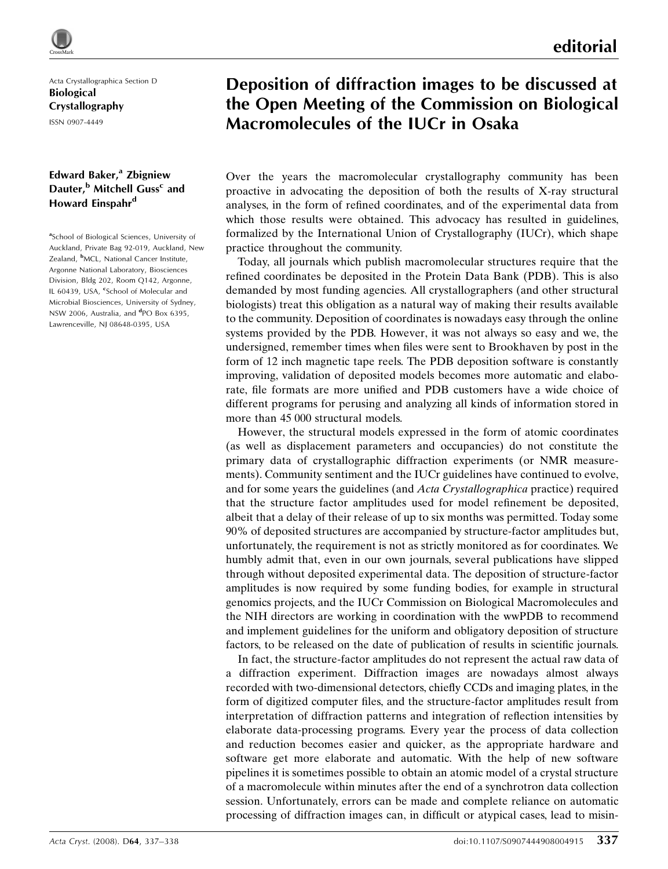Acta Crystallographica Section D Biological Crystallography ISSN 0907-4449

## Edward Baker, $a$  Zbigniew Dauter,<sup>b</sup> Mitchell Guss<sup>c</sup> and Howard Einspahr<sup>d</sup>

<sup>a</sup>School of Biological Sciences, University of Auckland, Private Bag 92-019, Auckland, New Zealand, <sup>b</sup>MCL, National Cancer Institute, Argonne National Laboratory, Biosciences Division, Bldg 202, Room Q142, Argonne, IL 60439, USA, <sup>c</sup>School of Molecular and Microbial Biosciences, University of Sydney, NSW 2006, Australia, and <sup>d</sup>PO Box 6395, Lawrenceville, NJ 08648-0395, USA

## Deposition of diffraction images to be discussed at the Open Meeting of the Commission on Biological Macromolecules of the IUCr in Osaka

Over the years the macromolecular crystallography community has been proactive in advocating the deposition of both the results of X-ray structural analyses, in the form of refined coordinates, and of the experimental data from which those results were obtained. This advocacy has resulted in guidelines, formalized by the International Union of Crystallography (IUCr), which shape practice throughout the community.

Today, all journals which publish macromolecular structures require that the refined coordinates be deposited in the Protein Data Bank (PDB). This is also demanded by most funding agencies. All crystallographers (and other structural biologists) treat this obligation as a natural way of making their results available to the community. Deposition of coordinates is nowadays easy through the online systems provided by the PDB. However, it was not always so easy and we, the undersigned, remember times when files were sent to Brookhaven by post in the form of 12 inch magnetic tape reels. The PDB deposition software is constantly improving, validation of deposited models becomes more automatic and elaborate, file formats are more unified and PDB customers have a wide choice of different programs for perusing and analyzing all kinds of information stored in more than 45 000 structural models.

However, the structural models expressed in the form of atomic coordinates (as well as displacement parameters and occupancies) do not constitute the primary data of crystallographic diffraction experiments (or NMR measurements). Community sentiment and the IUCr guidelines have continued to evolve, and for some years the guidelines (and Acta Crystallographica practice) required that the structure factor amplitudes used for model refinement be deposited, albeit that a delay of their release of up to six months was permitted. Today some 90% of deposited structures are accompanied by structure-factor amplitudes but, unfortunately, the requirement is not as strictly monitored as for coordinates. We humbly admit that, even in our own journals, several publications have slipped through without deposited experimental data. The deposition of structure-factor amplitudes is now required by some funding bodies, for example in structural genomics projects, and the IUCr Commission on Biological Macromolecules and the NIH directors are working in coordination with the wwPDB to recommend and implement guidelines for the uniform and obligatory deposition of structure factors, to be released on the date of publication of results in scientific journals.

In fact, the structure-factor amplitudes do not represent the actual raw data of a diffraction experiment. Diffraction images are nowadays almost always recorded with two-dimensional detectors, chiefly CCDs and imaging plates, in the form of digitized computer files, and the structure-factor amplitudes result from interpretation of diffraction patterns and integration of reflection intensities by elaborate data-processing programs. Every year the process of data collection and reduction becomes easier and quicker, as the appropriate hardware and software get more elaborate and automatic. With the help of new software pipelines it is sometimes possible to obtain an atomic model of a crystal structure of a macromolecule within minutes after the end of a synchrotron data collection session. Unfortunately, errors can be made and complete reliance on automatic processing of diffraction images can, in difficult or atypical cases, lead to misin-